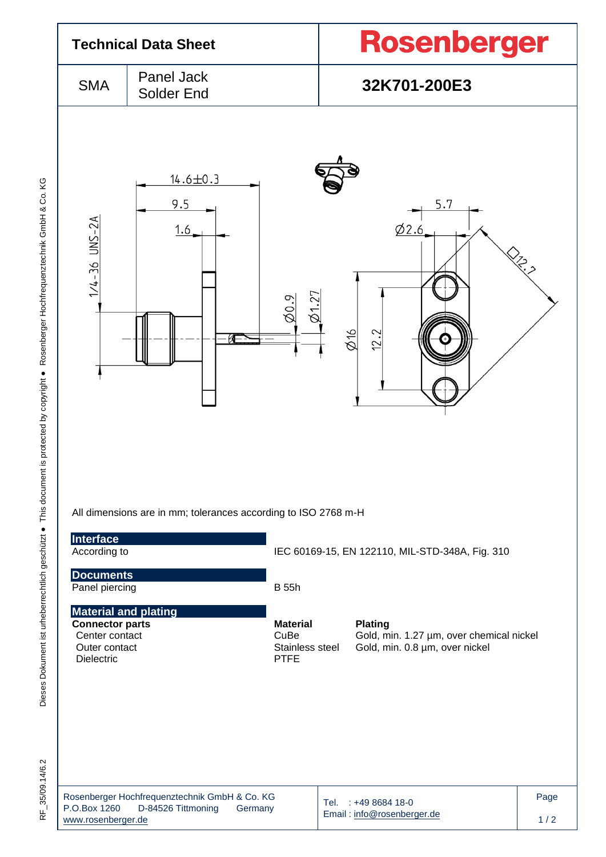|                                                                                                               | <b>Technical Data Sheet</b>                                                    |                                                           | Rosenberger                                                                                  |  |  |  |
|---------------------------------------------------------------------------------------------------------------|--------------------------------------------------------------------------------|-----------------------------------------------------------|----------------------------------------------------------------------------------------------|--|--|--|
| <b>SMA</b>                                                                                                    | Panel Jack<br>Solder End                                                       |                                                           | 32K701-200E3                                                                                 |  |  |  |
| $1/4 - 36$ UNS-2A                                                                                             | $14.6 \pm 0.3$<br>9.5<br>1.6<br>КÆ                                             | Ø1.27<br>$\varnothing$ 0.9                                | 5.7<br>0/2.6<br><b>RECEIVE</b><br>$\phi$ 16<br>12.2                                          |  |  |  |
| Interface<br>According to                                                                                     | All dimensions are in mm; tolerances according to ISO 2768 m-H                 |                                                           | IEC 60169-15, EN 122110, MIL-STD-348A, Fig. 310                                              |  |  |  |
| <b>Documents</b><br>Panel piercing                                                                            |                                                                                | <b>B</b> 55h                                              |                                                                                              |  |  |  |
| <b>Material and plating</b><br><b>Connector parts</b><br>Center contact<br>Outer contact<br><b>Dielectric</b> |                                                                                | <b>Material</b><br>CuBe<br>Stainless steel<br><b>PTFE</b> | <b>Plating</b><br>Gold, min. 1.27 µm, over chemical nickel<br>Gold, min. 0.8 µm, over nickel |  |  |  |
| P.O.Box 1260<br>www.rosenberger.de                                                                            | Rosenberger Hochfrequenztechnik GmbH & Co. KG<br>D-84526 Tittmoning<br>Germany |                                                           | Page<br>Tel.<br>$: +49868418-0$<br>Email: info@rosenberger.de<br>$1/2$                       |  |  |  |

RF\_35/09.14/6.2